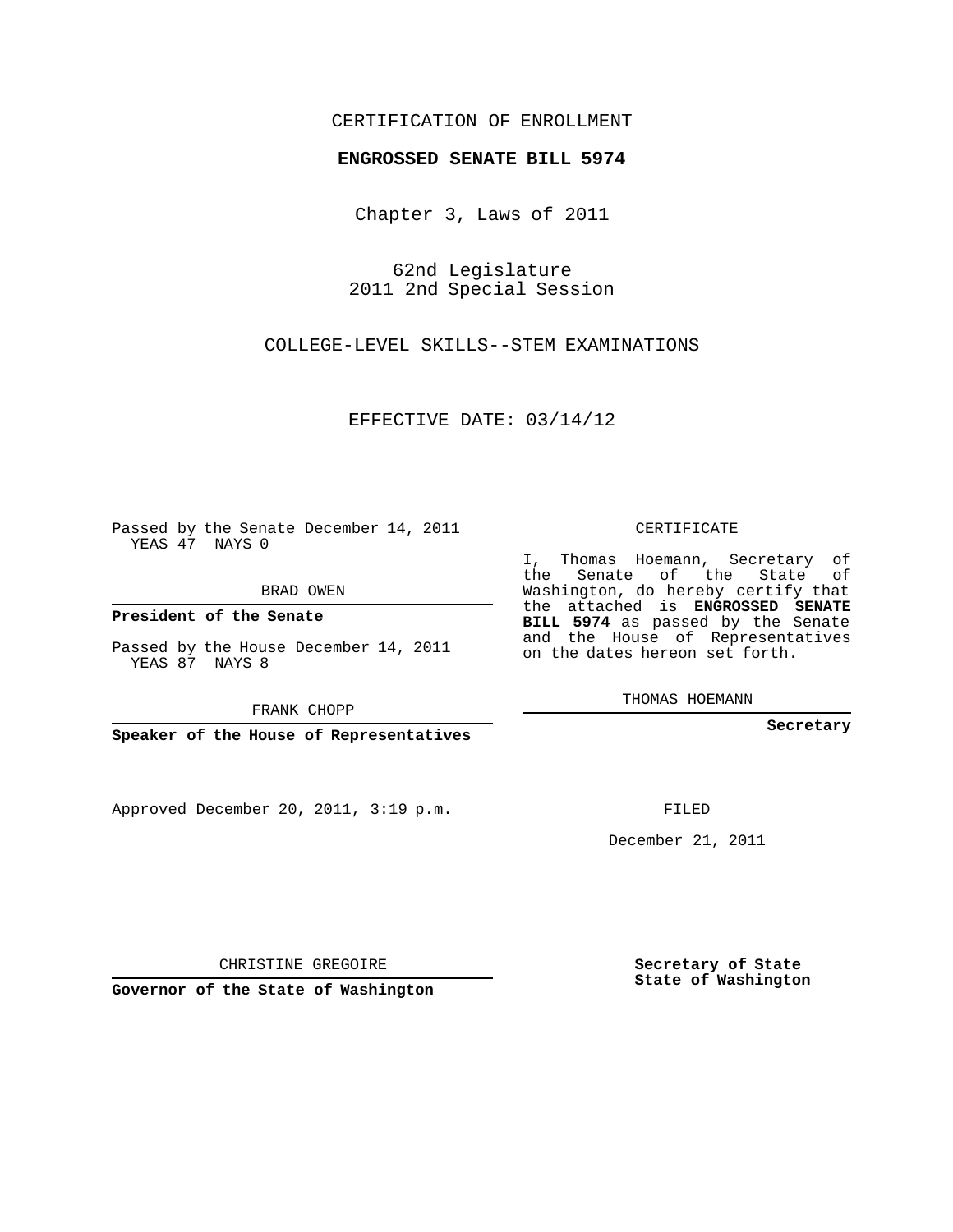## CERTIFICATION OF ENROLLMENT

## **ENGROSSED SENATE BILL 5974**

Chapter 3, Laws of 2011

62nd Legislature 2011 2nd Special Session

COLLEGE-LEVEL SKILLS--STEM EXAMINATIONS

EFFECTIVE DATE: 03/14/12

Passed by the Senate December 14, 2011 YEAS 47 NAYS 0

BRAD OWEN

**President of the Senate**

Passed by the House December 14, 2011 YEAS 87 NAYS 8

FRANK CHOPP

**Speaker of the House of Representatives**

Approved December 20, 2011, 3:19 p.m.

CERTIFICATE

I, Thomas Hoemann, Secretary of the Senate of the State of Washington, do hereby certify that the attached is **ENGROSSED SENATE BILL 5974** as passed by the Senate and the House of Representatives on the dates hereon set forth.

THOMAS HOEMANN

**Secretary**

FILED

December 21, 2011

CHRISTINE GREGOIRE

**Governor of the State of Washington**

**Secretary of State State of Washington**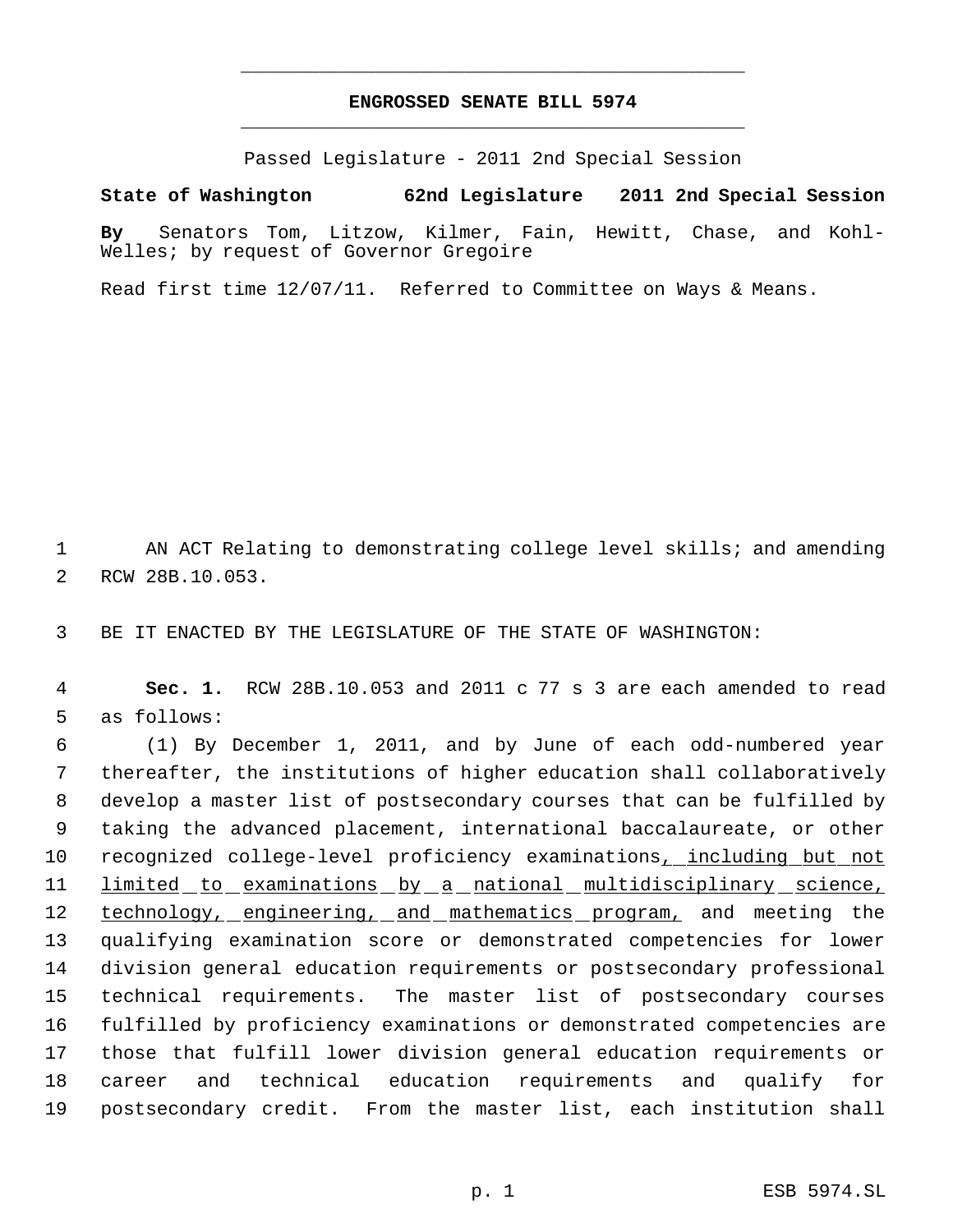## **ENGROSSED SENATE BILL 5974** \_\_\_\_\_\_\_\_\_\_\_\_\_\_\_\_\_\_\_\_\_\_\_\_\_\_\_\_\_\_\_\_\_\_\_\_\_\_\_\_\_\_\_\_\_

\_\_\_\_\_\_\_\_\_\_\_\_\_\_\_\_\_\_\_\_\_\_\_\_\_\_\_\_\_\_\_\_\_\_\_\_\_\_\_\_\_\_\_\_\_

Passed Legislature - 2011 2nd Special Session

**State of Washington 62nd Legislature 2011 2nd Special Session**

**By** Senators Tom, Litzow, Kilmer, Fain, Hewitt, Chase, and Kohl-Welles; by request of Governor Gregoire

Read first time 12/07/11. Referred to Committee on Ways & Means.

1 AN ACT Relating to demonstrating college level skills; and amending 2 RCW 28B.10.053.

3 BE IT ENACTED BY THE LEGISLATURE OF THE STATE OF WASHINGTON:

 4 **Sec. 1.** RCW 28B.10.053 and 2011 c 77 s 3 are each amended to read 5 as follows:

 (1) By December 1, 2011, and by June of each odd-numbered year thereafter, the institutions of higher education shall collaboratively develop a master list of postsecondary courses that can be fulfilled by taking the advanced placement, international baccalaureate, or other 10 recognized college-level proficiency examinations, including but not limited to examinations by a national multidisciplinary science, 12 technology, engineering, and mathematics program, and meeting the qualifying examination score or demonstrated competencies for lower division general education requirements or postsecondary professional technical requirements. The master list of postsecondary courses fulfilled by proficiency examinations or demonstrated competencies are those that fulfill lower division general education requirements or career and technical education requirements and qualify for postsecondary credit. From the master list, each institution shall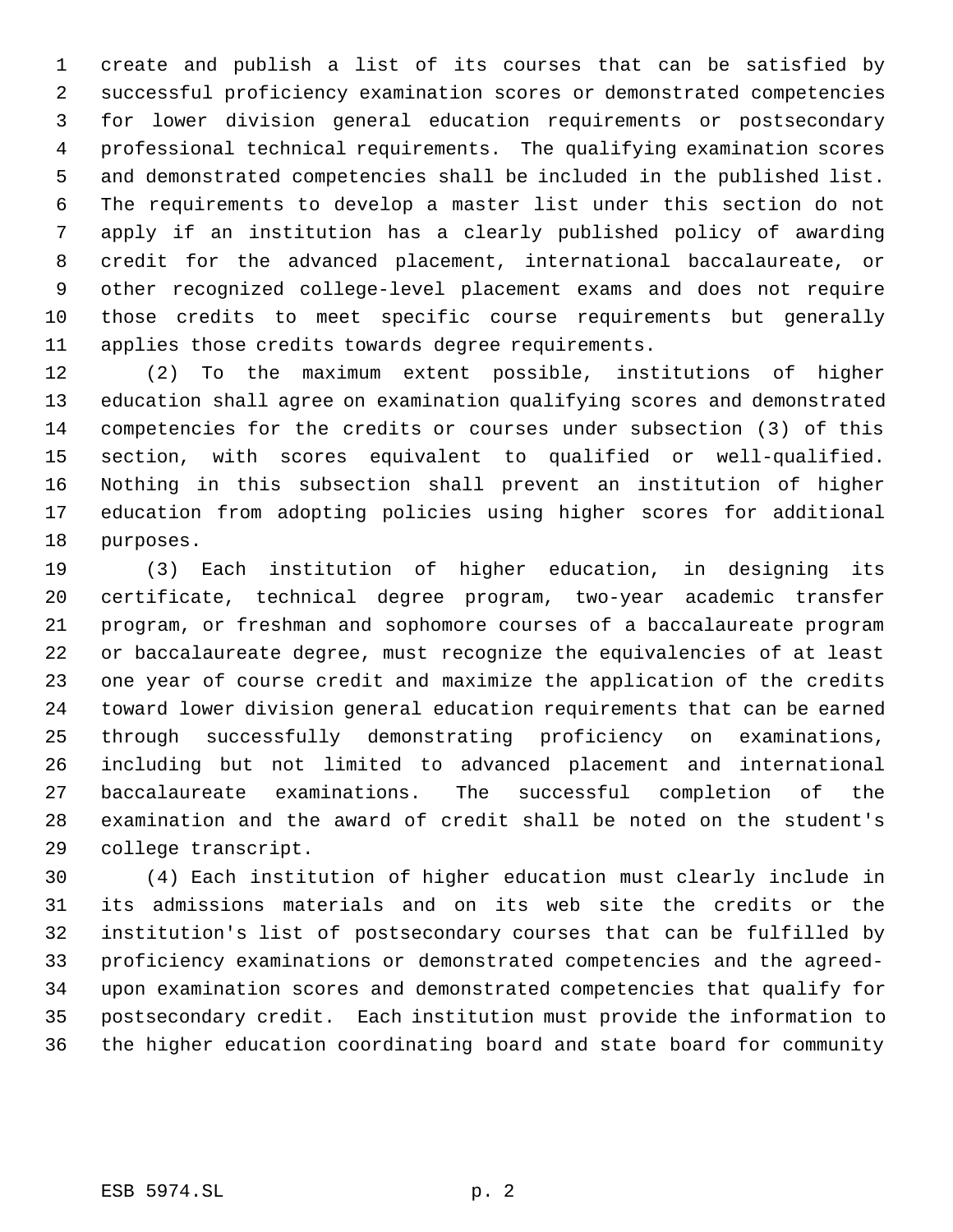create and publish a list of its courses that can be satisfied by successful proficiency examination scores or demonstrated competencies for lower division general education requirements or postsecondary professional technical requirements. The qualifying examination scores and demonstrated competencies shall be included in the published list. The requirements to develop a master list under this section do not apply if an institution has a clearly published policy of awarding credit for the advanced placement, international baccalaureate, or other recognized college-level placement exams and does not require those credits to meet specific course requirements but generally applies those credits towards degree requirements.

 (2) To the maximum extent possible, institutions of higher education shall agree on examination qualifying scores and demonstrated competencies for the credits or courses under subsection (3) of this section, with scores equivalent to qualified or well-qualified. Nothing in this subsection shall prevent an institution of higher education from adopting policies using higher scores for additional purposes.

 (3) Each institution of higher education, in designing its certificate, technical degree program, two-year academic transfer program, or freshman and sophomore courses of a baccalaureate program or baccalaureate degree, must recognize the equivalencies of at least one year of course credit and maximize the application of the credits toward lower division general education requirements that can be earned through successfully demonstrating proficiency on examinations, including but not limited to advanced placement and international baccalaureate examinations. The successful completion of the examination and the award of credit shall be noted on the student's college transcript.

 (4) Each institution of higher education must clearly include in its admissions materials and on its web site the credits or the institution's list of postsecondary courses that can be fulfilled by proficiency examinations or demonstrated competencies and the agreed- upon examination scores and demonstrated competencies that qualify for postsecondary credit. Each institution must provide the information to the higher education coordinating board and state board for community